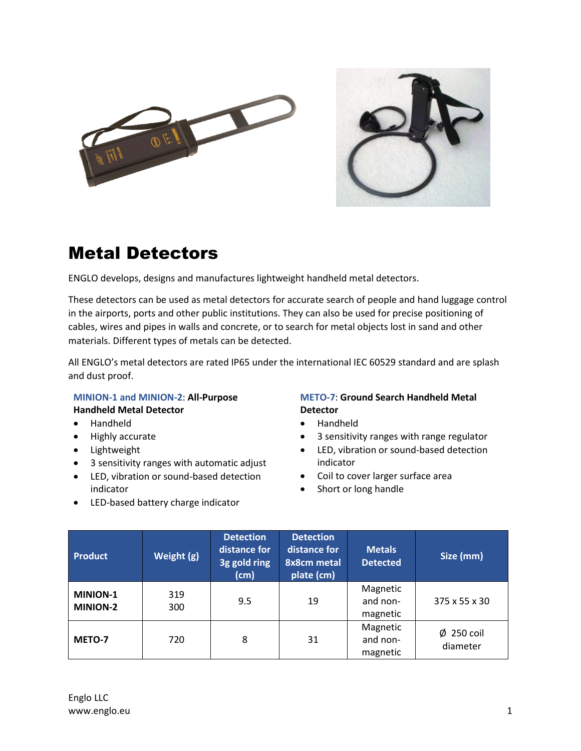



## Metal Detectors

ENGLO develops, designs and manufactures lightweight handheld metal detectors.

These detectors can be used as metal detectors for accurate search of people and hand luggage control in the airports, ports and other public institutions. They can also be used for precise positioning of cables, wires and pipes in walls and concrete, or to search for metal objects lost in sand and other materials. Different types of metals can be detected.

All ENGLO's metal detectors are rated IP65 under the international IEC 60529 standard and are splash and dust proof.

## **MINION-1 and MINION-2**: **All-Purpose Handheld Metal Detector**

- Handheld
- Highly accurate
- Lightweight
- 3 sensitivity ranges with automatic adjust
- LED, vibration or sound-based detection indicator
- LED-based battery charge indicator

## **METO-7**: **Ground Search Handheld Metal Detector**

- Handheld
- 3 sensitivity ranges with range regulator
- LED, vibration or sound-based detection indicator
- Coil to cover larger surface area
- Short or long handle

| <b>Product</b>                     | Weight (g) | <b>Detection</b><br>distance for<br>3g gold ring<br>(cm) | <b>Detection</b><br>distance for<br><b>8x8cm metal</b><br>plate (cm) | <b>Metals</b><br><b>Detected</b> | Size (mm)                   |
|------------------------------------|------------|----------------------------------------------------------|----------------------------------------------------------------------|----------------------------------|-----------------------------|
| <b>MINION-1</b><br><b>MINION-2</b> | 319<br>300 | 9.5                                                      | 19                                                                   | Magnetic<br>and non-<br>magnetic | 375 x 55 x 30               |
| METO-7                             | 720        | 8                                                        | 31                                                                   | Magnetic<br>and non-<br>magnetic | $\phi$ 250 coil<br>diameter |